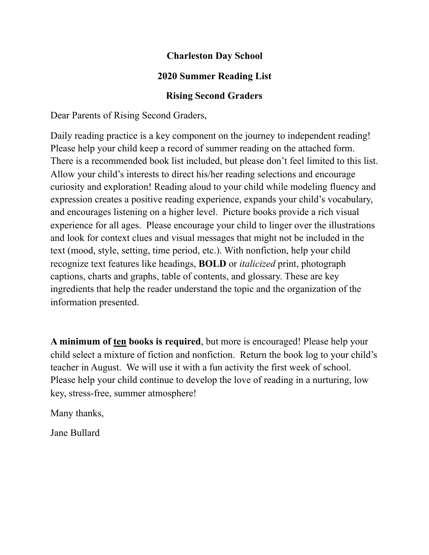#### **Charleston Day School**

### **2020 Summer Reading List**

### **Rising Second Graders**

Dear Parents of Rising Second Graders,

Daily reading practice is a key component on the journey to independent reading! Please help your child keep a record of summer reading on the attached form. There is a recommended book list included, but please don't feel limited to this list. Allow your child's interests to direct his/her reading selections and encourage curiosity and exploration! Reading aloud to your child while modeling fluency and expression creates a positive reading experience, expands your child's vocabulary, and encourages listening on a higher level. Picture books provide a rich visual experience for all ages. Please encourage your child to linger over the illustrations and look for context clues and visual messages that might not be included in the text (mood, style, setting, time period, etc.). With nonfiction, help your child recognize text features like headings, **BOLD** or *italicized* print, photograph captions, charts and graphs, table of contents, and glossary. These are key ingredients that help the reader understand the topic and the organization of the information presented.

**A minimum of ten books is required**, but more is encouraged! Please help your child select a mixture of fiction and nonfiction. Return the book log to your child's teacher in August. We will use it with a fun activity the first week of school. Please help your child continue to develop the love of reading in a nurturing, low key, stress-free, summer atmosphere!

Many thanks,

Jane Bullard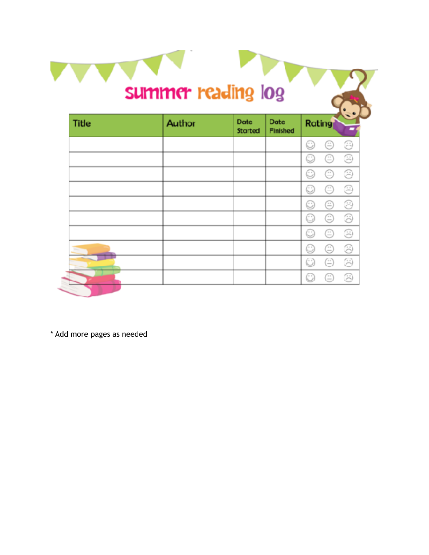|              |        |                        | summer reading log      |               |   |   |
|--------------|--------|------------------------|-------------------------|---------------|---|---|
| <b>Title</b> | Author | <b>Date</b><br>Started | Date<br><b>Finished</b> | <b>Rating</b> |   |   |
|              |        |                        |                         | C             | ⊜ | ⊛ |
|              |        |                        |                         | C             | ≘ | ☺ |
|              |        |                        |                         | C             | ☺ | ⊛ |
|              |        |                        |                         | C             | E | ⊛ |
|              |        |                        |                         | C             | ⊜ | ⊛ |
|              |        |                        |                         | G             | ⊜ | ⊛ |
|              |        |                        |                         | C             | ⊜ | ☺ |
|              |        |                        |                         | C             | ⊜ | ☺ |
|              |        |                        |                         | 0             | ⊜ | 3 |
|              |        |                        |                         | C             | Œ | ⊛ |

n in

\* Add more pages as needed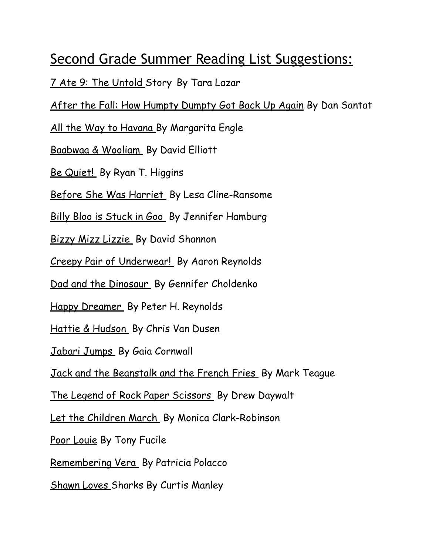# Second Grade Summer Reading List Suggestions:

7 Ate 9: The Untold Story By Tara Lazar

After the Fall: How Humpty Dumpty Got Back Up Again By Dan Santat

All the Way to Havana By Margarita Engle

Baabwaa & Wooliam By David Elliott

Be Quiet! By Ryan T. Higgins

Before She Was Harriet By Lesa Cline-Ransome

Billy Bloo is Stuck in Goo By Jennifer Hamburg

Bizzy Mizz Lizzie By David Shannon

Creepy Pair of Underwear! By Aaron Reynolds

Dad and the Dinosaur By Gennifer Choldenko

Happy Dreamer By Peter H. Reynolds

Hattie & Hudson By Chris Van Dusen

Jabari Jumps By Gaia Cornwall

Jack and the Beanstalk and the French Fries By Mark Teague

The Legend of Rock Paper Scissors By Drew Daywalt

Let the Children March By Monica Clark-Robinson

Poor Louie By Tony Fucile

Remembering Vera By Patricia Polacco

Shawn Loves Sharks By Curtis Manley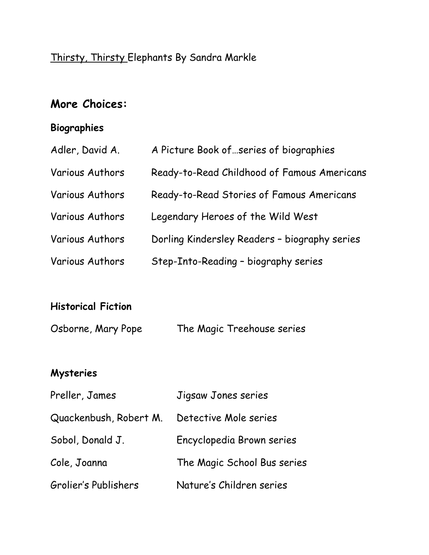## Thirsty, Thirsty Elephants By Sandra Markle

## **More Choices:**

### **Biographies**

| Adler, David A.        | A Picture Book of  series of biographies      |
|------------------------|-----------------------------------------------|
| Various Authors        | Ready-to-Read Childhood of Famous Americans   |
| Various Authors        | Ready-to-Read Stories of Famous Americans     |
| <b>Various Authors</b> | Legendary Heroes of the Wild West             |
| Various Authors        | Dorling Kindersley Readers - biography series |
| Various Authors        | Step-Into-Reading - biography series          |

### **Historical Fiction**

| Osborne, Mary Pope | The Magic Treehouse series |
|--------------------|----------------------------|
|                    |                            |

### **Mysteries**

| Preller, James         | Jigsaw Jones series         |
|------------------------|-----------------------------|
| Quackenbush, Robert M. | Detective Mole series       |
| Sobol, Donald J.       | Encyclopedia Brown series   |
| Cole, Joanna           | The Magic School Bus series |
| Grolier's Publishers   | Nature's Children series    |